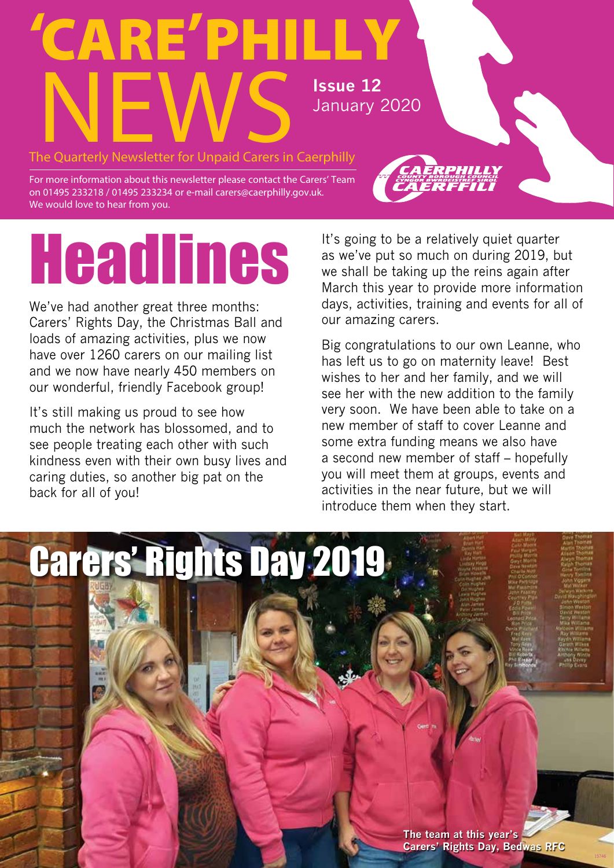## 'CARE'PHILLY The Quarterly Newsletter for Unpaid Carers in Caerphilly January 2020

For more information about this newsletter please contact the Carers' Team on 01495 233218 / 01495 233234 or e-mail carers@caerphilly.gov.uk. We would love to hear from you.

# Headlines

We've had another great three months: Carers' Rights Day, the Christmas Ball and loads of amazing activities, plus we now have over 1260 carers on our mailing list and we now have nearly 450 members on our wonderful, friendly Facebook group!

It's still making us proud to see how much the network has blossomed, and to see people treating each other with such kindness even with their own busy lives and caring duties, so another big pat on the back for all of you!

It's going to be a relatively quiet quarter as we've put so much on during 2019, but we shall be taking up the reins again after March this year to provide more information days, activities, training and events for all of our amazing carers.

Big congratulations to our own Leanne, who has left us to go on maternity leave! Best wishes to her and her family, and we will see her with the new addition to the family very soon. We have been able to take on a new member of staff to cover Leanne and some extra funding means we also have a second new member of staff – hopefully you will meet them at groups, events and activities in the near future, but we will introduce them when they start.

## Carers' Rights Day 2019

**The team at this year's Carers' Rights Day, Bedwas RFC**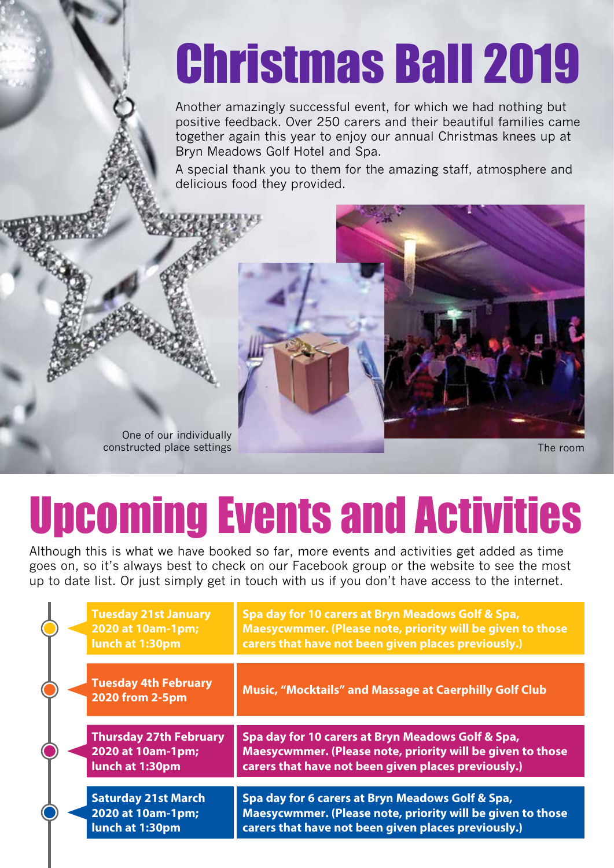## Christmas Ball 2019

Another amazingly successful event, for which we had nothing but positive feedback. Over 250 carers and their beautiful families came together again this year to enjoy our annual Christmas knees up at Bryn Meadows Golf Hotel and Spa.

A special thank you to them for the amazing staff, atmosphere and delicious food they provided.



The room

## Upcoming Events and Activities

Although this is what we have booked so far, more events and activities get added as time goes on, so it's always best to check on our Facebook group or the website to see the most up to date list. Or just simply get in touch with us if you don't have access to the internet.

|  | <b>Tuesday 21st January</b><br>2020 at 10am-1pm;<br>lunch at 1:30pm   | Spa day for 10 carers at Bryn Meadows Golf & Spa,<br>Maesycwmmer. (Please note, priority will be given to those<br>carers that have not been given places previously.) |
|--|-----------------------------------------------------------------------|------------------------------------------------------------------------------------------------------------------------------------------------------------------------|
|  | <b>Tuesday 4th February</b><br>2020 from 2-5pm                        | <b>Music, "Mocktails" and Massage at Caerphilly Golf Club</b>                                                                                                          |
|  | <b>Thursday 27th February</b><br>2020 at 10am-1pm;<br>lunch at 1:30pm | Spa day for 10 carers at Bryn Meadows Golf & Spa,<br>Maesycwmmer. (Please note, priority will be given to those<br>carers that have not been given places previously.) |
|  | <b>Saturday 21st March</b><br>2020 at 10am-1pm;<br>lunch at 1:30pm    | Spa day for 6 carers at Bryn Meadows Golf & Spa,<br>Maesycwmmer. (Please note, priority will be given to those<br>carers that have not been given places previously.)  |
|  |                                                                       |                                                                                                                                                                        |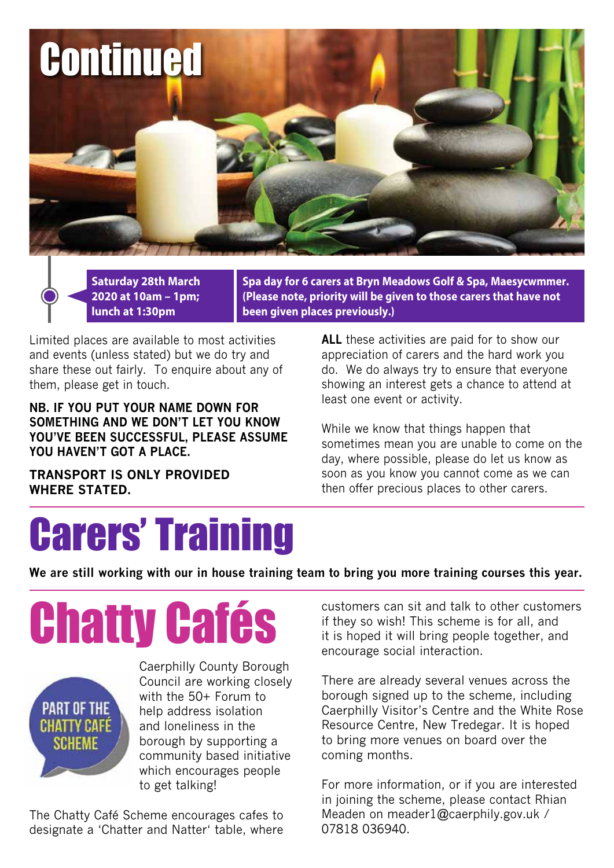

**Saturday 28th March 2020 at 10am – 1pm; lunch at 1:30pm**

**Spa day for 6 carers at Bryn Meadows Golf & Spa, Maesycwmmer. (Please note, priority will be given to those carers that have not been given places previously.)**

Limited places are available to most activities and events (unless stated) but we do try and share these out fairly. To enquire about any of them, please get in touch.

**NB. IF YOU PUT YOUR NAME DOWN FOR SOMETHING AND WE DON'T LET YOU KNOW YOU'VE BEEN SUCCESSFUL, PLEASE ASSUME YOU HAVEN'T GOT A PLACE.**

**TRANSPORT IS ONLY PROVIDED WHERE STATED.**

**ALL** these activities are paid for to show our appreciation of carers and the hard work you do. We do always try to ensure that everyone showing an interest gets a chance to attend at least one event or activity.

While we know that things happen that sometimes mean you are unable to come on the day, where possible, please do let us know as soon as you know you cannot come as we can then offer precious places to other carers.

## Carers' Training

**We are still working with our in house training team to bring you more training courses this year.**

Chatty Cafés



Caerphilly County Borough Council are working closely with the 50+ Forum to help address isolation and loneliness in the borough by supporting a community based initiative which encourages people to get talking!

The Chatty Café Scheme encourages cafes to designate a 'Chatter and Natter' table, where customers can sit and talk to other customers if they so wish! This scheme is for all, and it is hoped it will bring people together, and encourage social interaction.

There are already several venues across the borough signed up to the scheme, including Caerphilly Visitor's Centre and the White Rose Resource Centre, New Tredegar. It is hoped to bring more venues on board over the coming months.

For more information, or if you are interested in joining the scheme, please contact Rhian Meaden on meader1@caerphily.gov.uk / 07818 036940.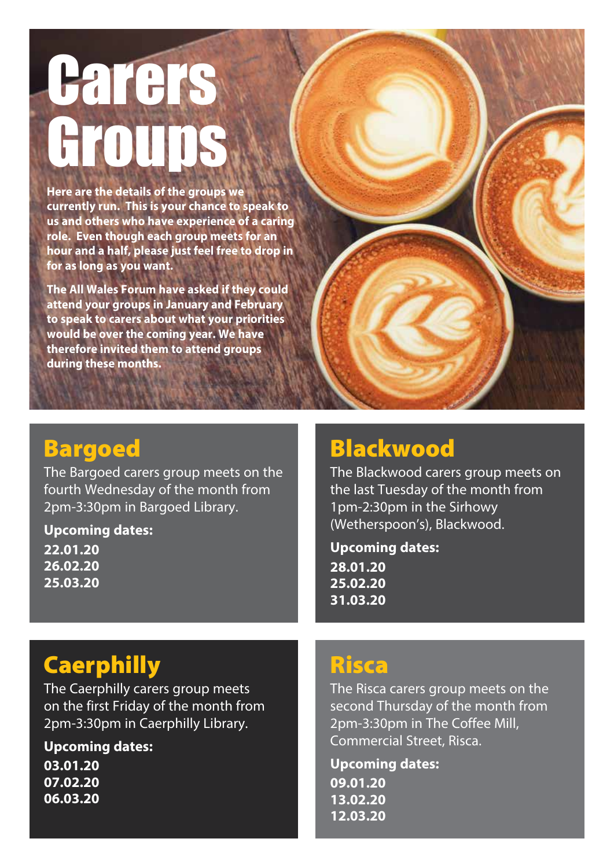# **Carers HOTINS**

**Here are the details of the groups we currently run. This is your chance to speak to us and others who have experience of a caring role. Even though each group meets for an hour and a half, please just feel free to drop in for as long as you want.**

**The All Wales Forum have asked if they could attend your groups in January and February to speak to carers about what your priorities would be over the coming year. We have therefore invited them to attend groups during these months.**

### **Bargoed**

The Bargoed carers group meets on the fourth Wednesday of the month from 2pm-3:30pm in Bargoed Library.

**Upcoming dates:**

**22.01.20 26.02.20 25.03.20**

### Blackwood

The Blackwood carers group meets on the last Tuesday of the month from 1pm-2:30pm in the Sirhowy (Wetherspoon's), Blackwood.

**Upcoming dates: 28.01.20 25.02.20 31.03.20**

## **Caerphilly**

The Caerphilly carers group meets on the first Friday of the month from 2pm-3:30pm in Caerphilly Library.

**Upcoming dates:**

**03.01.20 07.02.20 06.03.20**

### **Risca**

The Risca carers group meets on the second Thursday of the month from 2pm-3:30pm in The Coffee Mill, Commercial Street, Risca.

**Upcoming dates: 09.01.20 13.02.20 12.03.20**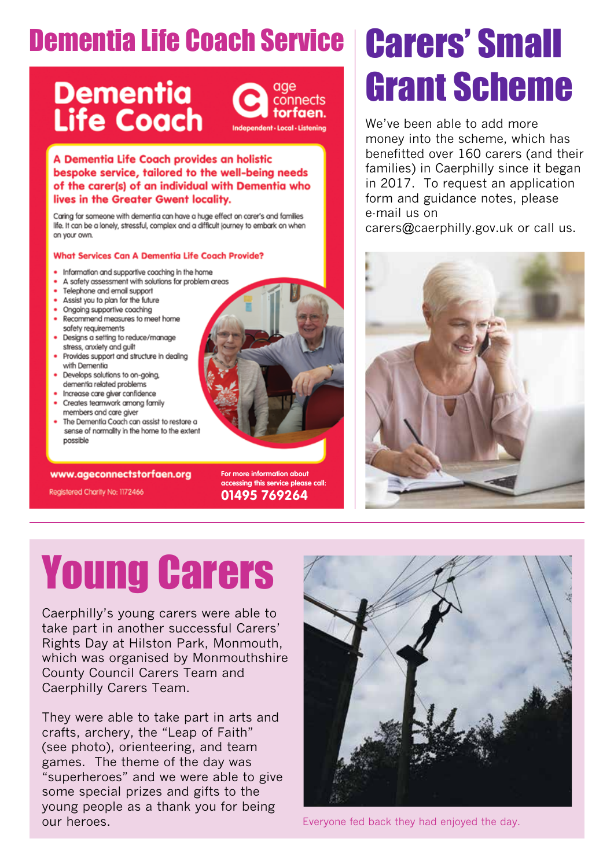## **Dementia Life Coach Service | Carers' Small**

## **Dementia<br>Life Coach**



A Dementia Life Coach provides an holistic bespoke service, tailored to the well-being needs of the carer(s) of an individual with Dementia who lives in the Greater Gwent locality.

Caring for someone with dementia can have a huge effect on carer's and families life. It can be a lonely, stressful, complex and a difficult journey to embark on when on your own.

### **What Services Can A Dementia Life Coach Provide?**

- . Information and supportive coaching in the home
- A safety assessment with solutions for problem greas
- Telephone and email support
- Assist you to plan for the future
- Ongoing supportive coaching
- Recommend measures to meet home safety requirements
- Designs a setting to reduce/manage stress, anxiety and guilt
- Provides support and structure in dealing with Dementia
- Develops solutions to on-going, dementia related problems
- · Increase care giver confidence
- Creates teamwork among family members and care giver
- The Dementia Coach can assist to restore a sense of normality in the home to the extent possible

### www.ageconnectstorfaen.org

Registered Charity No: 1172466

**For more information about accessing this service please call: 01495 769264**

# Grant Scheme

We've been able to add more money into the scheme, which has benefitted over 160 carers (and their families) in Caerphilly since it began in 2017. To request an application form and guidance notes, please e-mail us on carers@caerphilly.gov.uk or call us.



## Young Carers

Caerphilly's young carers were able to take part in another successful Carers' Rights Day at Hilston Park, Monmouth, which was organised by Monmouthshire County Council Carers Team and Caerphilly Carers Team.

They were able to take part in arts and crafts, archery, the "Leap of Faith" (see photo), orienteering, and team games. The theme of the day was "superheroes" and we were able to give some special prizes and gifts to the young people as a thank you for being **our heroes. Everyone fed back they had enjoyed the day.** Everyone fed back they had enjoyed the day.

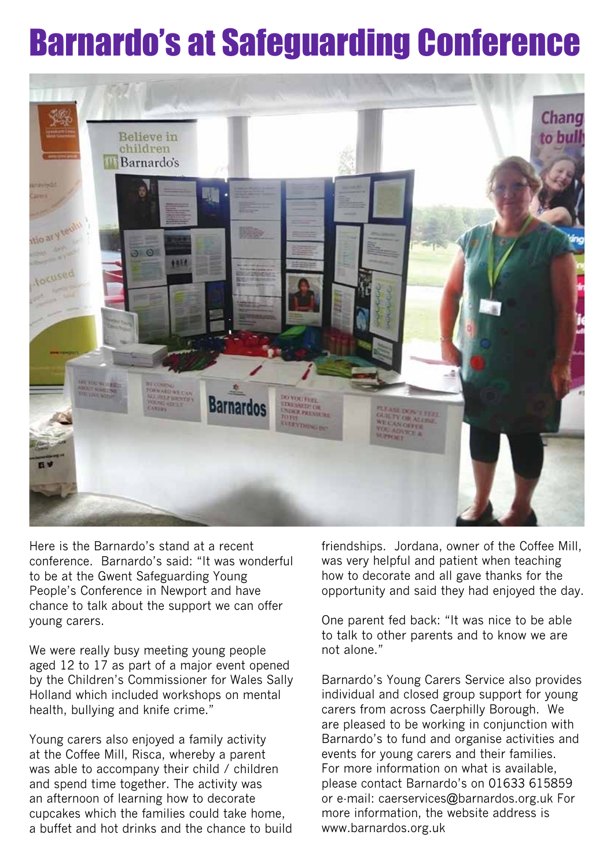## Barnardo's at Safeguarding Conference



Here is the Barnardo's stand at a recent conference. Barnardo's said: "It was wonderful to be at the Gwent Safeguarding Young People's Conference in Newport and have chance to talk about the support we can offer young carers.

We were really busy meeting young people aged 12 to 17 as part of a major event opened by the Children's Commissioner for Wales Sally Holland which included workshops on mental health, bullying and knife crime."

Young carers also enjoyed a family activity at the Coffee Mill, Risca, whereby a parent was able to accompany their child / children and spend time together. The activity was an afternoon of learning how to decorate cupcakes which the families could take home, a buffet and hot drinks and the chance to build friendships. Jordana, owner of the Coffee Mill, was very helpful and patient when teaching how to decorate and all gave thanks for the opportunity and said they had enjoyed the day.

One parent fed back: "It was nice to be able to talk to other parents and to know we are not alone."

Barnardo's Young Carers Service also provides individual and closed group support for young carers from across Caerphilly Borough. We are pleased to be working in conjunction with Barnardo's to fund and organise activities and events for young carers and their families. For more information on what is available, please contact Barnardo's on 01633 615859 or e-mail: caerservices@barnardos.org.uk For more information, the website address is www.barnardos.org.uk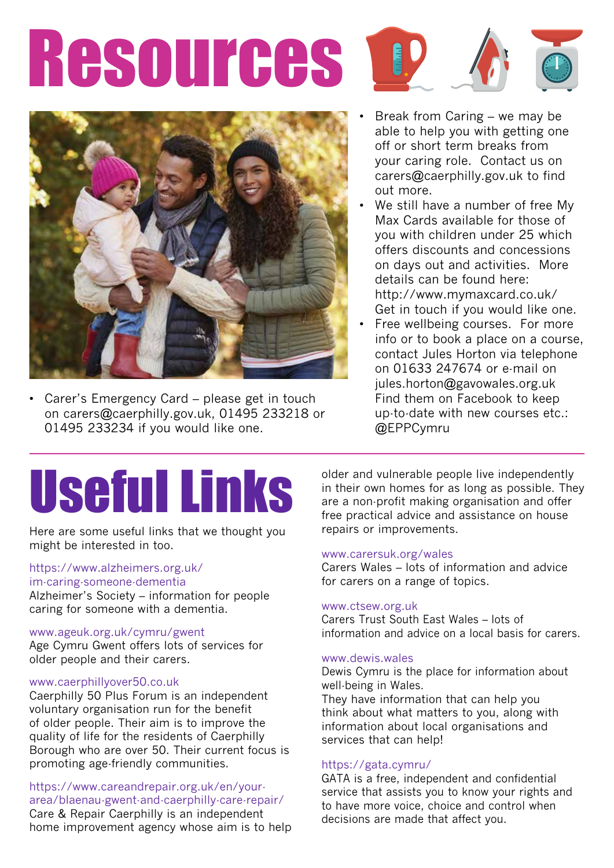# Resources 1





Carer's Emergency Card - please get in touch on carers@caerphilly.gov.uk, 01495 233218 or 01495 233234 if you would like one.

- Break from Caring we may be able to help you with getting one off or short term breaks from your caring role. Contact us on carers@caerphilly.gov.uk to find out more.
- We still have a number of free My Max Cards available for those of you with children under 25 which offers discounts and concessions on days out and activities. More details can be found here: http://www.mymaxcard.co.uk/ Get in touch if you would like one.
- Free wellbeing courses. For more info or to book a place on a course, contact Jules Horton via telephone on 01633 247674 or e-mail on jules.horton@gavowales.org.uk Find them on Facebook to keep up-to-date with new courses etc.: @EPPCymru

## Useful Links

Here are some useful links that we thought you might be interested in too.

### https://www.alzheimers.org.uk/ im-caring-someone-dementia

Alzheimer's Society – information for people caring for someone with a dementia.

### www.ageuk.org.uk/cymru/gwent

Age Cymru Gwent offers lots of services for older people and their carers.

### www.caerphillyover50.co.uk

Caerphilly 50 Plus Forum is an independent voluntary organisation run for the benefit of older people. Their aim is to improve the quality of life for the residents of Caerphilly Borough who are over 50. Their current focus is promoting age-friendly communities.

https://www.careandrepair.org.uk/en/yourarea/blaenau-gwent-and-caerphilly-care-repair/ Care & Repair Caerphilly is an independent

home improvement agency whose aim is to help

older and vulnerable people live independently in their own homes for as long as possible. They are a non-profit making organisation and offer free practical advice and assistance on house repairs or improvements.

### www.carersuk.org/wales

Carers Wales – lots of information and advice for carers on a range of topics.

### www.ctsew.org.uk

Carers Trust South East Wales – lots of information and advice on a local basis for carers.

### www.dewis.wales

Dewis Cymru is the place for information about well-being in Wales. They have information that can help you

think about what matters to you, along with information about local organisations and services that can help!

### https://gata.cymru/

GATA is a free, independent and confidential service that assists you to know your rights and to have more voice, choice and control when decisions are made that affect you.